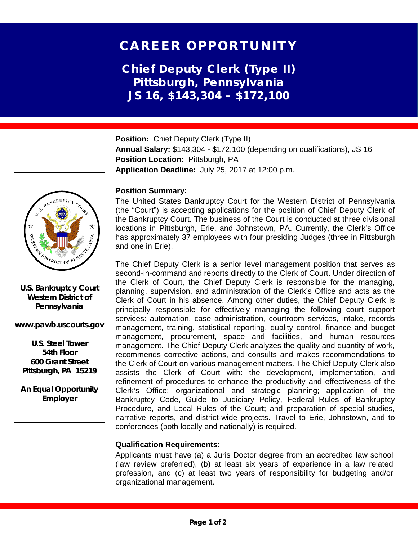# CAREER OPPORTUNITY

**Chief Deputy Clerk (Type II) Pittsburgh, Pennsylvania JS 16, \$143,304 - \$172,100**

**Position:** Chief Deputy Clerk (Type II) **Annual Salary:** \$143,304 - \$172,100 (depending on qualifications), JS 16 **Position Location:** Pittsburgh, PA **Application Deadline:** July 25, 2017 at 12:00 p.m.

## **Position Summary:**

The United States Bankruptcy Court for the Western District of Pennsylvania (the "Court") is accepting applications for the position of Chief Deputy Clerk of the Bankruptcy Court. The business of the Court is conducted at three divisional locations in Pittsburgh, Erie, and Johnstown, PA. Currently, the Clerk's Office has approximately 37 employees with four presiding Judges (three in Pittsburgh and one in Erie).

The Chief Deputy Clerk is a senior level management position that serves as second-in-command and reports directly to the Clerk of Court. Under direction of the Clerk of Court, the Chief Deputy Clerk is responsible for the managing, planning, supervision, and administration of the Clerk's Office and acts as the Clerk of Court in his absence. Among other duties, the Chief Deputy Clerk is principally responsible for effectively managing the following court support services: automation, case administration, courtroom services, intake, records management, training, statistical reporting, quality control, finance and budget management, procurement, space and facilities, and human resources management. The Chief Deputy Clerk analyzes the quality and quantity of work, recommends corrective actions, and consults and makes recommendations to the Clerk of Court on various management matters. The Chief Deputy Clerk also assists the Clerk of Court with: the development, implementation, and refinement of procedures to enhance the productivity and effectiveness of the Clerk's Office; organizational and strategic planning; application of the Bankruptcy Code, Guide to Judiciary Policy, Federal Rules of Bankruptcy Procedure, and Local Rules of the Court; and preparation of special studies, narrative reports, and district-wide projects. Travel to Erie, Johnstown, and to conferences (both locally and nationally) is required.

### **Qualification Requirements:**

Applicants must have (a) a Juris Doctor degree from an accredited law school (law review preferred), (b) at least six years of experience in a law related profession, and (c) at least two years of responsibility for budgeting and/or organizational management.



**U.S. Bankruptcy Court Western District of Pennsylvania**

**www.pawb.uscourts.gov**

**U.S. Steel Tower 54th Floor 600 Grant Street Pittsburgh, PA 15219**

**An Equal Opportunity Employer**